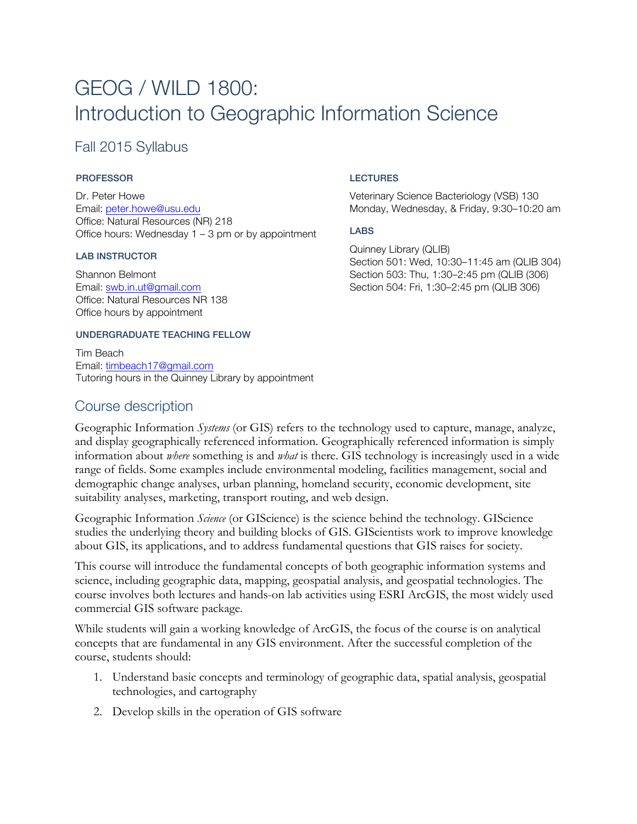# GEOG / WILD 1800: Introduction to Geographic Information Science

### Fall 2015 Syllabus

#### PROFESSOR

Dr. Peter Howe Email: peter.howe@usu.edu Office: Natural Resources (NR) 218 Office hours: Wednesday  $1 - 3$  pm or by appointment

#### LAB INSTRUCTOR

Shannon Belmont Email: swb.in.ut@gmail.com Office: Natural Resources NR 138 Office hours by appointment

#### UNDERGRADUATE TEACHING FELLOW

Tim Beach Email: timbeach17@gmail.com Tutoring hours in the Quinney Library by appointment

### Course description

#### LECTURES

Veterinary Science Bacteriology (VSB) 130 Monday, Wednesday, & Friday, 9:30–10:20 am

#### LABS

Quinney Library (QLIB) Section 501: Wed, 10:30–11:45 am (QLIB 304) Section 503: Thu, 1:30–2:45 pm (QLIB (306) Section 504: Fri, 1:30–2:45 pm (QLIB 306)

Geographic Information *Systems* (or GIS) refers to the technology used to capture, manage, analyze, and display geographically referenced information. Geographically referenced information is simply information about *where* something is and *what* is there. GIS technology is increasingly used in a wide range of fields. Some examples include environmental modeling, facilities management, social and demographic change analyses, urban planning, homeland security, economic development, site suitability analyses, marketing, transport routing, and web design.

Geographic Information *Science* (or GIScience) is the science behind the technology. GIScience studies the underlying theory and building blocks of GIS. GIScientists work to improve knowledge about GIS, its applications, and to address fundamental questions that GIS raises for society.

This course will introduce the fundamental concepts of both geographic information systems and science, including geographic data, mapping, geospatial analysis, and geospatial technologies. The course involves both lectures and hands-on lab activities using ESRI ArcGIS, the most widely used commercial GIS software package.

While students will gain a working knowledge of ArcGIS, the focus of the course is on analytical concepts that are fundamental in any GIS environment. After the successful completion of the course, students should:

- 1. Understand basic concepts and terminology of geographic data, spatial analysis, geospatial technologies, and cartography
- 2. Develop skills in the operation of GIS software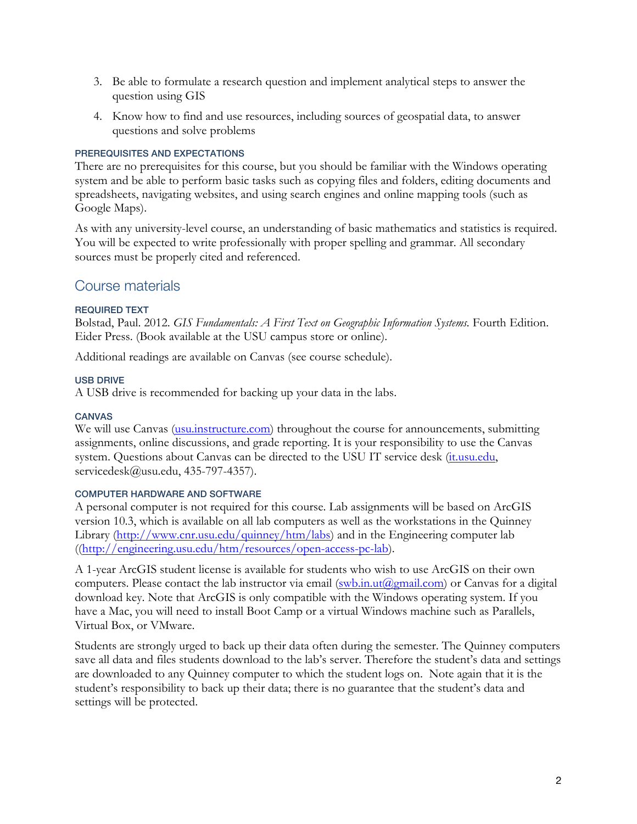- 3. Be able to formulate a research question and implement analytical steps to answer the question using GIS
- 4. Know how to find and use resources, including sources of geospatial data, to answer questions and solve problems

#### PREREQUISITES AND EXPECTATIONS

There are no prerequisites for this course, but you should be familiar with the Windows operating system and be able to perform basic tasks such as copying files and folders, editing documents and spreadsheets, navigating websites, and using search engines and online mapping tools (such as Google Maps).

As with any university-level course, an understanding of basic mathematics and statistics is required. You will be expected to write professionally with proper spelling and grammar. All secondary sources must be properly cited and referenced.

### Course materials

#### REQUIRED TEXT

Bolstad, Paul. 2012. *GIS Fundamentals: A First Text on Geographic Information Systems*. Fourth Edition. Eider Press. (Book available at the USU campus store or online).

Additional readings are available on Canvas (see course schedule).

#### USB DRIVE

A USB drive is recommended for backing up your data in the labs.

#### **CANVAS**

We will use Canvas (usu.instructure.com) throughout the course for announcements, submitting assignments, online discussions, and grade reporting. It is your responsibility to use the Canvas system. Questions about Canvas can be directed to the USU IT service desk (it.usu.edu, servicedesk@usu.edu, 435-797-4357).

#### COMPUTER HARDWARE AND SOFTWARE

A personal computer is not required for this course. Lab assignments will be based on ArcGIS version 10.3, which is available on all lab computers as well as the workstations in the Quinney Library (http://www.cnr.usu.edu/quinney/htm/labs) and in the Engineering computer lab ((http://engineering.usu.edu/htm/resources/open-access-pc-lab).

A 1-year ArcGIS student license is available for students who wish to use ArcGIS on their own computers. Please contact the lab instructor via email (swb.in.ut@gmail.com) or Canvas for a digital download key. Note that ArcGIS is only compatible with the Windows operating system. If you have a Mac, you will need to install Boot Camp or a virtual Windows machine such as Parallels, Virtual Box, or VMware.

Students are strongly urged to back up their data often during the semester. The Quinney computers save all data and files students download to the lab's server. Therefore the student's data and settings are downloaded to any Quinney computer to which the student logs on. Note again that it is the student's responsibility to back up their data; there is no guarantee that the student's data and settings will be protected.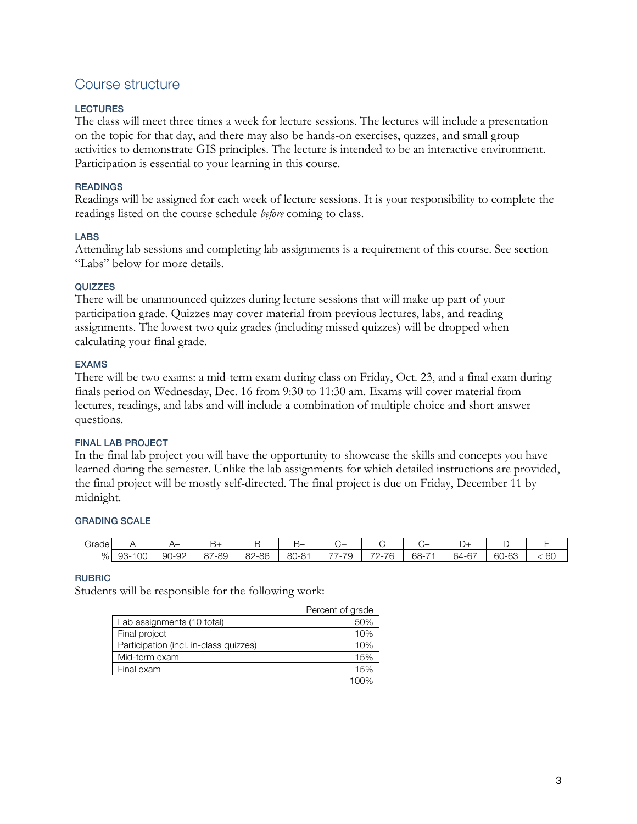### Course structure

#### LECTURES

The class will meet three times a week for lecture sessions. The lectures will include a presentation on the topic for that day, and there may also be hands-on exercises, quzzes, and small group activities to demonstrate GIS principles. The lecture is intended to be an interactive environment. Participation is essential to your learning in this course.

#### READINGS

Readings will be assigned for each week of lecture sessions. It is your responsibility to complete the readings listed on the course schedule *before* coming to class.

#### LABS

Attending lab sessions and completing lab assignments is a requirement of this course. See section "Labs" below for more details.

#### QUIZZES

There will be unannounced quizzes during lecture sessions that will make up part of your participation grade. Quizzes may cover material from previous lectures, labs, and reading assignments. The lowest two quiz grades (including missed quizzes) will be dropped when calculating your final grade.

#### EXAMS

There will be two exams: a mid-term exam during class on Friday, Oct. 23, and a final exam during finals period on Wednesday, Dec. 16 from 9:30 to 11:30 am. Exams will cover material from lectures, readings, and labs and will include a combination of multiple choice and short answer questions.

#### FINAL LAB PROJECT

In the final lab project you will have the opportunity to showcase the skills and concepts you have learned during the semester. Unlike the lab assignments for which detailed instructions are provided, the final project will be mostly self-directed. The final project is due on Friday, December 11 by midnight.

#### GRADING SCALE

| Grade |                                  | --    | -ت                       | -     | ¬–<br>−                                      | $\cup^+$                                        |                                                                              |                                    | ັ                                  |     |              |
|-------|----------------------------------|-------|--------------------------|-------|----------------------------------------------|-------------------------------------------------|------------------------------------------------------------------------------|------------------------------------|------------------------------------|-----|--------------|
| %     | $\sim$ $\sim$<br>$93 - 1$<br>'UC | 90-92 | '-89<br>$\sim$ $-$<br>87 | 82-86 | $\Omega$<br>$1 - 8$ <sup>-1</sup><br>ου<br>◡ | --<br>$\overline{\phantom{0}}$<br>◡<br>-<br>. . | $\overline{\phantom{a}}$<br>-76<br>$\overline{\phantom{a}}$<br><u>_</u><br>◡ | $68 -$<br>$\overline{\phantom{0}}$ | $\sim$<br>. .<br>hа<br>$-1$<br>ر ر | ി–ി | $\sim$<br>бC |

#### RUBRIC

Students will be responsible for the following work:

|                                        | Percent of grade |
|----------------------------------------|------------------|
| Lab assignments (10 total)             | 50%              |
| Final project                          | 10%              |
| Participation (incl. in-class quizzes) | 10%              |
| Mid-term exam                          | 15%              |
| Final exam                             | 15%              |
|                                        | 1 በበ%            |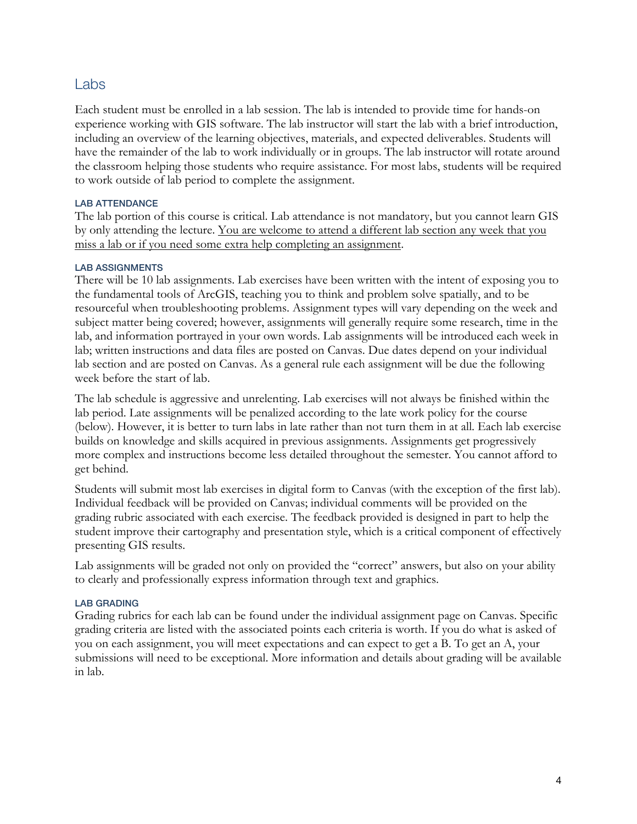### Labs

Each student must be enrolled in a lab session. The lab is intended to provide time for hands-on experience working with GIS software. The lab instructor will start the lab with a brief introduction, including an overview of the learning objectives, materials, and expected deliverables. Students will have the remainder of the lab to work individually or in groups. The lab instructor will rotate around the classroom helping those students who require assistance. For most labs, students will be required to work outside of lab period to complete the assignment.

#### **LAB ATTENDANCE**

The lab portion of this course is critical. Lab attendance is not mandatory, but you cannot learn GIS by only attending the lecture. You are welcome to attend a different lab section any week that you miss a lab or if you need some extra help completing an assignment.

#### LAB ASSIGNMENTS

There will be 10 lab assignments. Lab exercises have been written with the intent of exposing you to the fundamental tools of ArcGIS, teaching you to think and problem solve spatially, and to be resourceful when troubleshooting problems. Assignment types will vary depending on the week and subject matter being covered; however, assignments will generally require some research, time in the lab, and information portrayed in your own words. Lab assignments will be introduced each week in lab; written instructions and data files are posted on Canvas. Due dates depend on your individual lab section and are posted on Canvas. As a general rule each assignment will be due the following week before the start of lab.

The lab schedule is aggressive and unrelenting. Lab exercises will not always be finished within the lab period. Late assignments will be penalized according to the late work policy for the course (below). However, it is better to turn labs in late rather than not turn them in at all. Each lab exercise builds on knowledge and skills acquired in previous assignments. Assignments get progressively more complex and instructions become less detailed throughout the semester. You cannot afford to get behind.

Students will submit most lab exercises in digital form to Canvas (with the exception of the first lab). Individual feedback will be provided on Canvas; individual comments will be provided on the grading rubric associated with each exercise. The feedback provided is designed in part to help the student improve their cartography and presentation style, which is a critical component of effectively presenting GIS results.

Lab assignments will be graded not only on provided the "correct" answers, but also on your ability to clearly and professionally express information through text and graphics.

#### LAB GRADING

Grading rubrics for each lab can be found under the individual assignment page on Canvas. Specific grading criteria are listed with the associated points each criteria is worth. If you do what is asked of you on each assignment, you will meet expectations and can expect to get a B. To get an A, your submissions will need to be exceptional. More information and details about grading will be available in lab.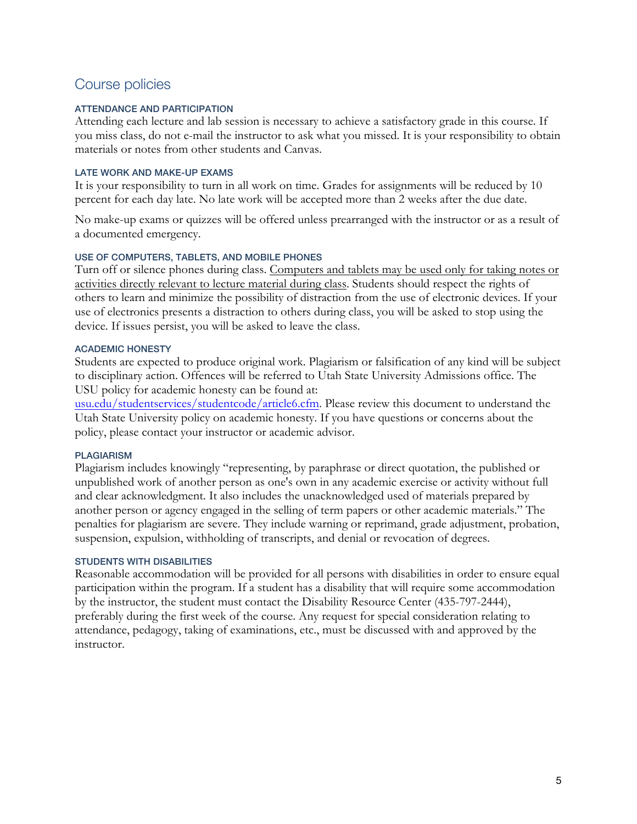## Course policies

#### ATTENDANCE AND PARTICIPATION

Attending each lecture and lab session is necessary to achieve a satisfactory grade in this course. If you miss class, do not e-mail the instructor to ask what you missed. It is your responsibility to obtain materials or notes from other students and Canvas.

#### LATE WORK AND MAKE-UP EXAMS

It is your responsibility to turn in all work on time. Grades for assignments will be reduced by 10 percent for each day late. No late work will be accepted more than 2 weeks after the due date.

No make-up exams or quizzes will be offered unless prearranged with the instructor or as a result of a documented emergency.

#### USE OF COMPUTERS, TABLETS, AND MOBILE PHONES

Turn off or silence phones during class. Computers and tablets may be used only for taking notes or activities directly relevant to lecture material during class. Students should respect the rights of others to learn and minimize the possibility of distraction from the use of electronic devices. If your use of electronics presents a distraction to others during class, you will be asked to stop using the device. If issues persist, you will be asked to leave the class.

#### ACADEMIC HONESTY

Students are expected to produce original work. Plagiarism or falsification of any kind will be subject to disciplinary action. Offences will be referred to Utah State University Admissions office. The USU policy for academic honesty can be found at:

usu.edu/studentservices/studentcode/article6.cfm. Please review this document to understand the Utah State University policy on academic honesty. If you have questions or concerns about the policy, please contact your instructor or academic advisor.

#### PLAGIARISM

Plagiarism includes knowingly "representing, by paraphrase or direct quotation, the published or unpublished work of another person as one's own in any academic exercise or activity without full and clear acknowledgment. It also includes the unacknowledged used of materials prepared by another person or agency engaged in the selling of term papers or other academic materials." The penalties for plagiarism are severe. They include warning or reprimand, grade adjustment, probation, suspension, expulsion, withholding of transcripts, and denial or revocation of degrees.

#### STUDENTS WITH DISABILITIES

Reasonable accommodation will be provided for all persons with disabilities in order to ensure equal participation within the program. If a student has a disability that will require some accommodation by the instructor, the student must contact the Disability Resource Center (435-797-2444), preferably during the first week of the course. Any request for special consideration relating to attendance, pedagogy, taking of examinations, etc., must be discussed with and approved by the instructor.